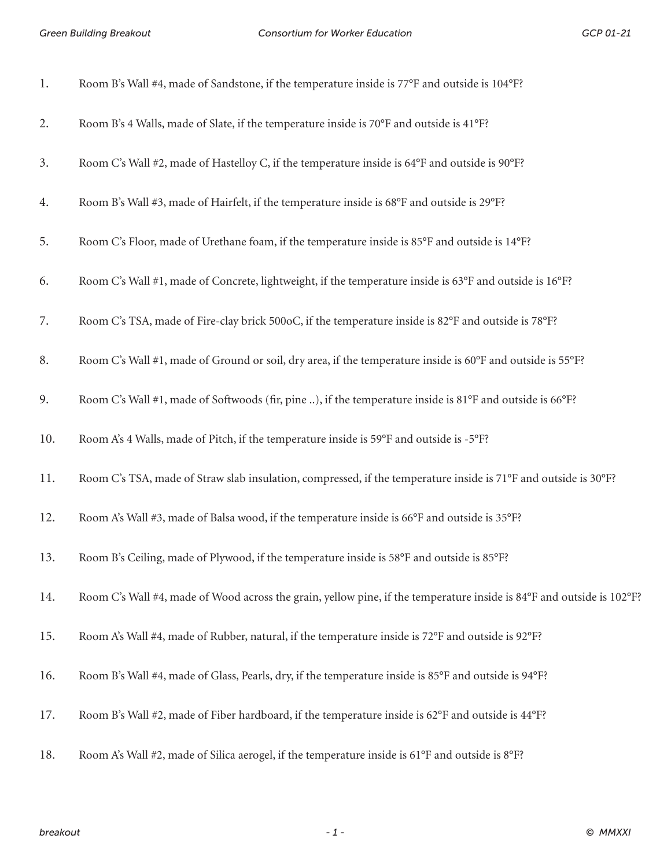*Green Building Breakout Consortium for Worker Education GCP 01-21*

| 1.  | Room B's Wall #4, made of Sandstone, if the temperature inside is 77°F and outside is 104°F?                          |
|-----|-----------------------------------------------------------------------------------------------------------------------|
| 2.  | Room B's 4 Walls, made of Slate, if the temperature inside is 70°F and outside is 41°F?                               |
| 3.  | Room C's Wall #2, made of Hastelloy C, if the temperature inside is 64°F and outside is 90°F?                         |
| 4.  | Room B's Wall #3, made of Hairfelt, if the temperature inside is 68°F and outside is 29°F?                            |
| 5.  | Room C's Floor, made of Urethane foam, if the temperature inside is 85°F and outside is 14°F?                         |
| 6.  | Room C's Wall #1, made of Concrete, lightweight, if the temperature inside is 63°F and outside is 16°F?               |
| 7.  | Room C's TSA, made of Fire-clay brick 500oC, if the temperature inside is 82°F and outside is 78°F?                   |
| 8.  | Room C's Wall #1, made of Ground or soil, dry area, if the temperature inside is 60°F and outside is 55°F?            |
| 9.  | Room C's Wall #1, made of Softwoods (fir, pine ), if the temperature inside is 81°F and outside is 66°F?              |
| 10. | Room A's 4 Walls, made of Pitch, if the temperature inside is 59°F and outside is -5°F?                               |
| 11. | Room C's TSA, made of Straw slab insulation, compressed, if the temperature inside is 71°F and outside is 30°F?       |
| 12. | Room A's Wall #3, made of Balsa wood, if the temperature inside is 66°F and outside is 35°F?                          |
| 13. | Room B's Ceiling, made of Plywood, if the temperature inside is 58°F and outside is 85°F?                             |
| 14. | Room C's Wall #4, made of Wood across the grain, yellow pine, if the temperature inside is 84°F and outside is 102°F? |
| 15. | Room A's Wall #4, made of Rubber, natural, if the temperature inside is 72°F and outside is 92°F?                     |
| 16. | Room B's Wall #4, made of Glass, Pearls, dry, if the temperature inside is 85°F and outside is 94°F?                  |
| 17. | Room B's Wall #2, made of Fiber hardboard, if the temperature inside is 62°F and outside is 44°F?                     |
| 18. | Room A's Wall #2, made of Silica aerogel, if the temperature inside is 61°F and outside is 8°F?                       |